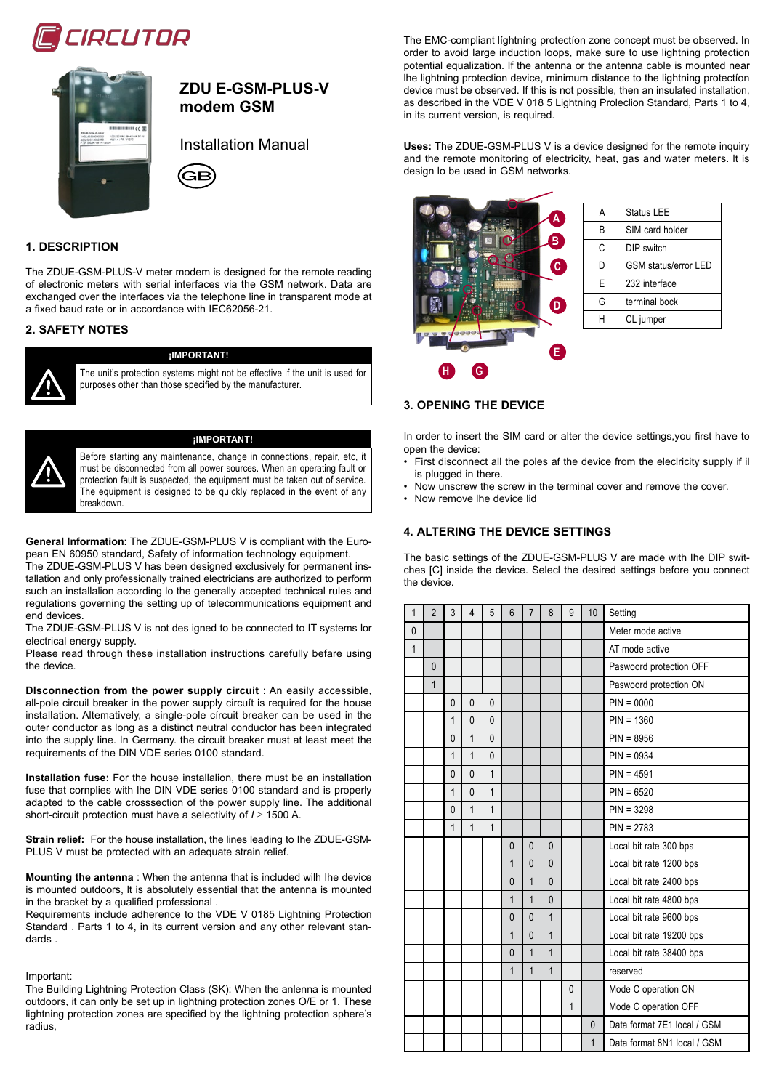



# **ZDU E-GSM-PLUS-V modem GSM**

Installation Manual



## **1. DEScription**

The ZDUE-GSM-PLUS-V meter modem is designed for the remote reading of electronic meters with serial interfaces via the GSM network. Data are exchanged over the interfaces via the telephone line in transparent mode at a fixed baud rate or in accordance with IEC62056-21.

## **2. Safety Notes**



# **¡IMPORTANT!**

The unit's protection systems might not be effective if the unit is used for purposes other than those specified by the manufacturer.

#### **¡IMPORTANT!**

Before starting any maintenance, change in connections, repair, etc, it must be disconnected from all power sources. When an operating fault or protection fault is suspected, the equipment must be taken out of service. The equipment is designed to be quickly replaced in the event of any breakdown.

**General lnformation**: The ZDUE-GSM-PLUS V is compliant with the European EN 60950 standard, Safety of information technology equipment.

The ZDUE-GSM-PLUS V has been designed exclusively for permanent installation and only professionally trained electricians are authorized to perform such an installalion according lo the generally accepted technical rules and regulations governing the setting up of telecommunications equipment and end devices.

The ZDUE-GSM-PLUS V is not des igned to be connected to IT systems lor electrical energy supply.

Please read through these installation instructions carefully befare using the device.

**Dlsconnection from the power supply circuit** : An easily accessible, all-pole circuil breaker in the power supply circuít is required for the house installation. Altematively, a single-pole círcuit breaker can be used in the outer conductor as long as a distinct neutral conductor has been integrated into the supply line. In Germany. the circuit breaker must at least meet the requirements of the DIN VDE series 0100 standard.

**Installation fuse:** For the house installalion, there must be an installation fuse that cornplies with lhe DIN VDE series 0100 standard and is properly adapted to the cable crosssection of the power supply line. The additional short-circuit protection must have a selectivity of *I* ≥ 1500 A.

**Strain relief:** For the house installation, the lines leading to Ihe ZDUE-GSM-PLUS V must be protected with an adequate strain relief.

**Mounting the antenna** : When the antenna that is included wilh Ihe device is mounted outdoors, lt is absolutely essential that the antenna is mounted in the bracket by a qualified professional .

Requirements include adherence to the VDE V 0185 Lightning Protection Standard . Parts 1 to 4, in its current version and any other relevant standards .

#### Important:

The Building Lightning Protection Class (SK): When the anlenna is mounted outdoors, it can only be set up in lightning protection zones O/E or 1. These lightning protection zones are specified by the lightning protection sphere's radius,

The EMC-compliant líghtníng protectíon zone concept must be observed. In order to avoid large induction loops, make sure to use lightning protection potential equalization. If the antenna or the antenna cable is mounted near lhe lightning protection device, minimum distance to the lightning protectíon device must be observed. If this is not possible, then an insulated installation, as described in the VDE V 018 5 Lightning Proleclion Standard, Parts 1 to 4, in its current version, is required.

**Uses:** The ZDUE-GSM-PLUS V is a device designed for the remote inquiry and the remote monitoring of electricity, heat, gas and water meters. lt is design lo be used in GSM networks.



# **3. Opening the device**

In order to insert the SIM card or alter the device settings,you first have to open the device:

- First disconnect all the poles af the device from the eleclricity supply if il is plugged in there.
- Now unscrew the screw in the terminal cover and remove the cover.
- Now remove lhe device lid

# **4. Altering the device settings**

The basic settings of the ZDUE-GSM-PLUS V are made with Ihe DIP switches [C] inside the device. Selecl the desired settings before you connect the device.

| $\mathbf{1}$ | $\overline{2}$ | 3            | 4              | 5            | 6              | $\overline{7}$ | 8              | 9            | 10             | Setting                     |
|--------------|----------------|--------------|----------------|--------------|----------------|----------------|----------------|--------------|----------------|-----------------------------|
| $\mathbf{0}$ |                |              |                |              |                |                |                |              |                | Meter mode active           |
| $\mathbf{1}$ |                |              |                |              |                |                |                |              |                | AT mode active              |
|              | $\mathbf{0}$   |              |                |              |                |                |                |              |                | Paswoord protection OFF     |
|              | $\mathbf{1}$   |              |                |              |                |                |                |              |                | Paswoord protection ON      |
|              |                | $\mathbf{0}$ | $\mathbf{0}$   | $\mathbf{0}$ |                |                |                |              |                | $PIN = 0000$                |
|              |                | 1            | $\mathbf{0}$   | $\mathbf{0}$ |                |                |                |              |                | $PIN = 1360$                |
|              |                | $\mathbf{0}$ | $\mathbf{1}$   | $\mathbf{0}$ |                |                |                |              |                | $PIN = 8956$                |
|              |                | 1            | $\mathbf{1}$   | $\mathbf{0}$ |                |                |                |              |                | $PIN = 0934$                |
|              |                | $\mathbf{0}$ | $\overline{0}$ | $\mathbf{1}$ |                |                |                |              |                | $PIN = 4591$                |
|              |                | 1            | $\overline{0}$ | $\mathbf{1}$ |                |                |                |              |                | $PIN = 6520$                |
|              |                | $\mathbf{0}$ | $\mathbf{1}$   | $\mathbf{1}$ |                |                |                |              |                | $PIN = 3298$                |
|              |                | 1            | $\mathbf{1}$   | $\mathbf{1}$ |                |                |                |              |                | $PIN = 2783$                |
|              |                |              |                |              | $\mathbf{0}$   | $\mathbf{0}$   | 0              |              |                | Local bit rate 300 bps      |
|              |                |              |                |              | $\overline{1}$ | $\mathbf{0}$   | $\overline{0}$ |              |                | Local bit rate 1200 bps     |
|              |                |              |                |              | $\mathbf{0}$   | $\overline{1}$ | $\overline{0}$ |              |                | Local bit rate 2400 bps     |
|              |                |              |                |              | $\mathbf{1}$   | $\overline{1}$ | $\overline{0}$ |              |                | Local bit rate 4800 bps     |
|              |                |              |                |              | $\mathbf{0}$   | $\mathbf{0}$   | $\mathbf{1}$   |              |                | Local bit rate 9600 bps     |
|              |                |              |                |              | $\overline{1}$ | $\mathbf{0}$   | $\mathbf{1}$   |              |                | Local bit rate 19200 bps    |
|              |                |              |                |              | $\mathbf{0}$   | $\overline{1}$ | $\mathbf{1}$   |              |                | Local bit rate 38400 bps    |
|              |                |              |                |              | $\mathbf{1}$   | $\mathbf{1}$   | $\overline{1}$ |              |                | reserved                    |
|              |                |              |                |              |                |                |                | $\mathbf{0}$ |                | Mode C operation ON         |
|              |                |              |                |              |                |                |                | $\mathbf{1}$ |                | Mode C operation OFF        |
|              |                |              |                |              |                |                |                |              | $\mathbf{0}$   | Data format 7E1 local / GSM |
|              |                |              |                |              |                |                |                |              | $\overline{1}$ | Data format 8N1 local / GSM |